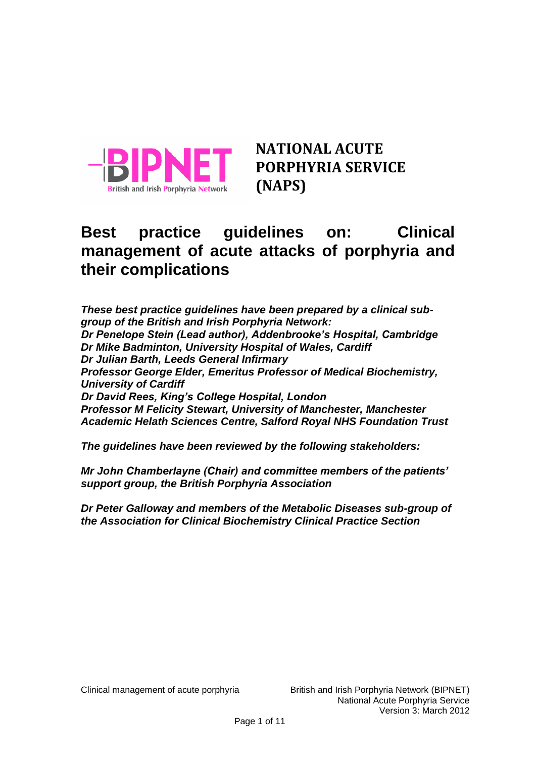

**NATIONAL ACUTE PORPHYRIA SERVICE (NAPS)**

# **Best practice guidelines on: Clinical management of acute attacks of porphyria and their complications**

*These best practice guidelines have been prepared by a clinical subgroup of the British and Irish Porphyria Network: Dr Penelope Stein (Lead author), Addenbrooke's Hospital, Cambridge Dr Mike Badminton, University Hospital of Wales, Cardiff Dr Julian Barth, Leeds General Infirmary Professor George Elder, Emeritus Professor of Medical Biochemistry, University of Cardiff Dr David Rees, King's College Hospital, London Professor M Felicity Stewart, University of Manchester, Manchester Academic Helath Sciences Centre, Salford Royal NHS Foundation Trust*

*The guidelines have been reviewed by the following stakeholders:*

*Mr John Chamberlayne (Chair) and committee members of the patients' support group, the British Porphyria Association*

*Dr Peter Galloway and members of the Metabolic Diseases sub-group of the Association for Clinical Biochemistry Clinical Practice Section*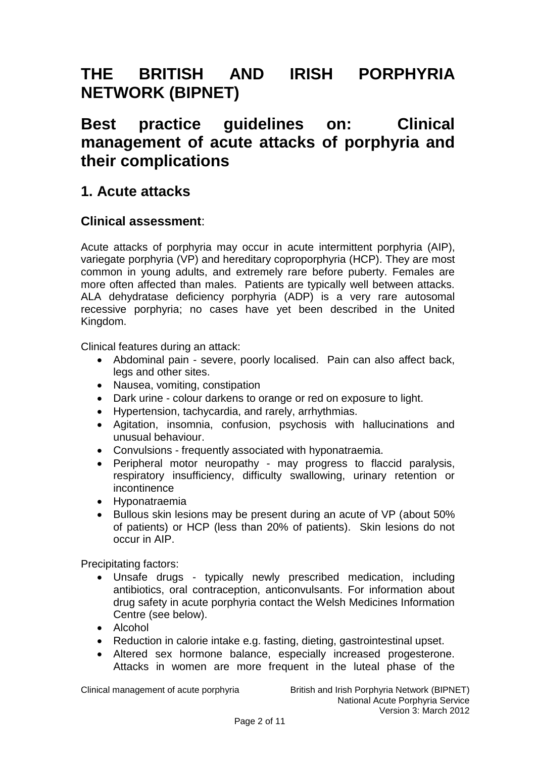# **THE BRITISH AND IRISH PORPHYRIA NETWORK (BIPNET)**

# **Best practice guidelines on: Clinical management of acute attacks of porphyria and their complications**

## **1. Acute attacks**

## **Clinical assessment**:

Acute attacks of porphyria may occur in acute intermittent porphyria (AIP), variegate porphyria (VP) and hereditary coproporphyria (HCP). They are most common in young adults, and extremely rare before puberty. Females are more often affected than males. Patients are typically well between attacks. ALA dehydratase deficiency porphyria (ADP) is a very rare autosomal recessive porphyria; no cases have yet been described in the United Kingdom.

Clinical features during an attack:

- Abdominal pain severe, poorly localised. Pain can also affect back, legs and other sites.
- Nausea, vomiting, constipation
- Dark urine colour darkens to orange or red on exposure to light.
- Hypertension, tachycardia, and rarely, arrhythmias.
- Agitation, insomnia, confusion, psychosis with hallucinations and unusual behaviour.
- Convulsions frequently associated with hyponatraemia.
- Peripheral motor neuropathy may progress to flaccid paralysis, respiratory insufficiency, difficulty swallowing, urinary retention or incontinence
- Hyponatraemia
- Bullous skin lesions may be present during an acute of VP (about 50% of patients) or HCP (less than 20% of patients). Skin lesions do not occur in AIP.

Precipitating factors:

- Unsafe drugs typically newly prescribed medication, including antibiotics, oral contraception, anticonvulsants. For information about drug safety in acute porphyria contact the Welsh Medicines Information Centre (see below).
- Alcohol
- Reduction in calorie intake e.g. fasting, dieting, gastrointestinal upset.
- Altered sex hormone balance, especially increased progesterone. Attacks in women are more frequent in the luteal phase of the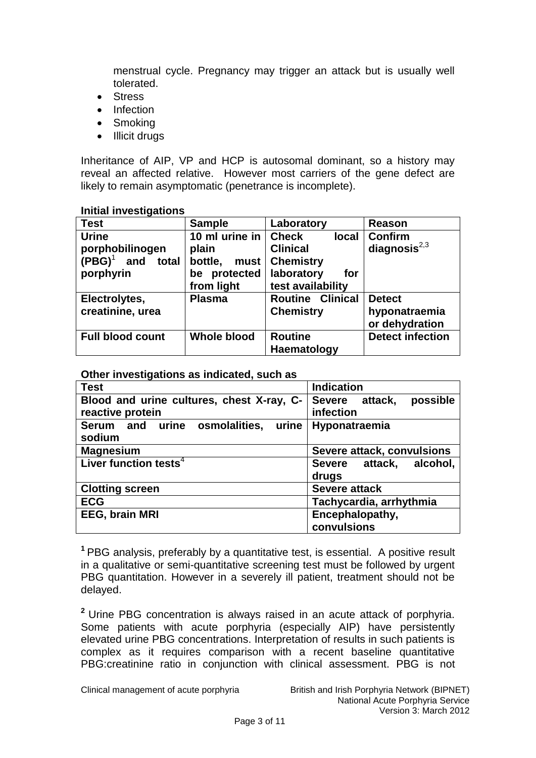menstrual cycle. Pregnancy may trigger an attack but is usually well tolerated.

- Stress
- Infection
- Smoking
- Illicit drugs

Inheritance of AIP, VP and HCP is autosomal dominant, so a history may reveal an affected relative. However most carriers of the gene defect are likely to remain asymptomatic (penetrance is incomplete).

| <b>Test</b>               | <b>Sample</b>          | Laboratory                   | <b>Reason</b>           |  |
|---------------------------|------------------------|------------------------------|-------------------------|--|
| <b>Urine</b>              | 10 ml urine in $\vert$ | <b>Check</b><br><b>local</b> | Confirm                 |  |
| porphobilinogen           | plain                  | <b>Clinical</b>              | diagnosis $^{2,3}$      |  |
| $(PBG)^1$<br>and<br>total | bottle,<br>must        | <b>Chemistry</b>             |                         |  |
| porphyrin                 | protected<br>be        | laboratory<br>for            |                         |  |
|                           | from light             | test availability            |                         |  |
| Electrolytes,             | <b>Plasma</b>          | <b>Routine Clinical</b>      | <b>Detect</b>           |  |
| creatinine, urea          |                        | <b>Chemistry</b>             | hyponatraemia           |  |
|                           |                        |                              | or dehydration          |  |
| <b>Full blood count</b>   | Whole blood            | <b>Routine</b>               | <b>Detect infection</b> |  |
|                           |                        | Haematology                  |                         |  |

#### **Initial investigations**

#### **Other investigations as indicated, such as**

| <b>Test</b>                               | <b>Indication</b>          |
|-------------------------------------------|----------------------------|
| Blood and urine cultures, chest X-ray, C- | possible<br>Severe attack, |
| reactive protein                          | infection                  |
| Serum and urine osmolalities, urine       | Hyponatraemia              |
| sodium                                    |                            |
| <b>Magnesium</b>                          | Severe attack, convulsions |
| Liver function tests <sup>4</sup>         | Severe attack, alcohol,    |
|                                           | drugs                      |
| <b>Clotting screen</b>                    | <b>Severe attack</b>       |
| <b>ECG</b>                                | Tachycardia, arrhythmia    |
| <b>EEG, brain MRI</b>                     | Encephalopathy,            |
|                                           | convulsions                |

**<sup>1</sup>**PBG analysis, preferably by a quantitative test, is essential. A positive result in a qualitative or semi-quantitative screening test must be followed by urgent PBG quantitation. However in a severely ill patient, treatment should not be delayed.

**<sup>2</sup>** Urine PBG concentration is always raised in an acute attack of porphyria. Some patients with acute porphyria (especially AIP) have persistently elevated urine PBG concentrations. Interpretation of results in such patients is complex as it requires comparison with a recent baseline quantitative PBG:creatinine ratio in conjunction with clinical assessment. PBG is not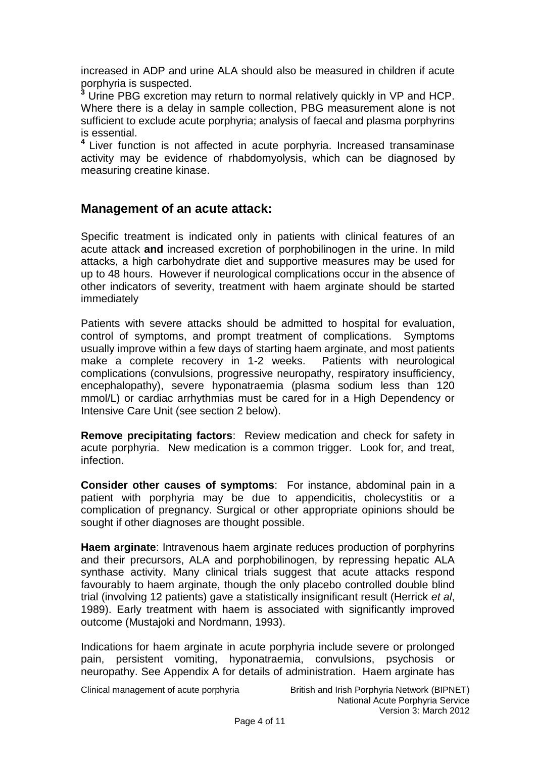increased in ADP and urine ALA should also be measured in children if acute porphyria is suspected.

**<sup>3</sup>** Urine PBG excretion may return to normal relatively quickly in VP and HCP. Where there is a delay in sample collection, PBG measurement alone is not sufficient to exclude acute porphyria; analysis of faecal and plasma porphyrins is essential.

**<sup>4</sup>**Liver function is not affected in acute porphyria. Increased transaminase activity may be evidence of rhabdomyolysis, which can be diagnosed by measuring creatine kinase.

### **Management of an acute attack:**

Specific treatment is indicated only in patients with clinical features of an acute attack **and** increased excretion of porphobilinogen in the urine. In mild attacks, a high carbohydrate diet and supportive measures may be used for up to 48 hours. However if neurological complications occur in the absence of other indicators of severity, treatment with haem arginate should be started immediately

Patients with severe attacks should be admitted to hospital for evaluation, control of symptoms, and prompt treatment of complications. Symptoms usually improve within a few days of starting haem arginate, and most patients make a complete recovery in 1-2 weeks. Patients with neurological complications (convulsions, progressive neuropathy, respiratory insufficiency, encephalopathy), severe hyponatraemia (plasma sodium less than 120 mmol/L) or cardiac arrhythmias must be cared for in a High Dependency or Intensive Care Unit (see section 2 below).

**Remove precipitating factors**: Review medication and check for safety in acute porphyria. New medication is a common trigger. Look for, and treat, infection.

**Consider other causes of symptoms**: For instance, abdominal pain in a patient with porphyria may be due to appendicitis, cholecystitis or a complication of pregnancy. Surgical or other appropriate opinions should be sought if other diagnoses are thought possible.

**Haem arginate:** Intravenous haem arginate reduces production of porphyrins and their precursors, ALA and porphobilinogen, by repressing hepatic ALA synthase activity. Many clinical trials suggest that acute attacks respond favourably to haem arginate, though the only placebo controlled double blind trial (involving 12 patients) gave a statistically insignificant result (Herrick *et al*, 1989). Early treatment with haem is associated with significantly improved outcome (Mustajoki and Nordmann, 1993).

Indications for haem arginate in acute porphyria include severe or prolonged pain, persistent vomiting, hyponatraemia, convulsions, psychosis or neuropathy. See Appendix A for details of administration. Haem arginate has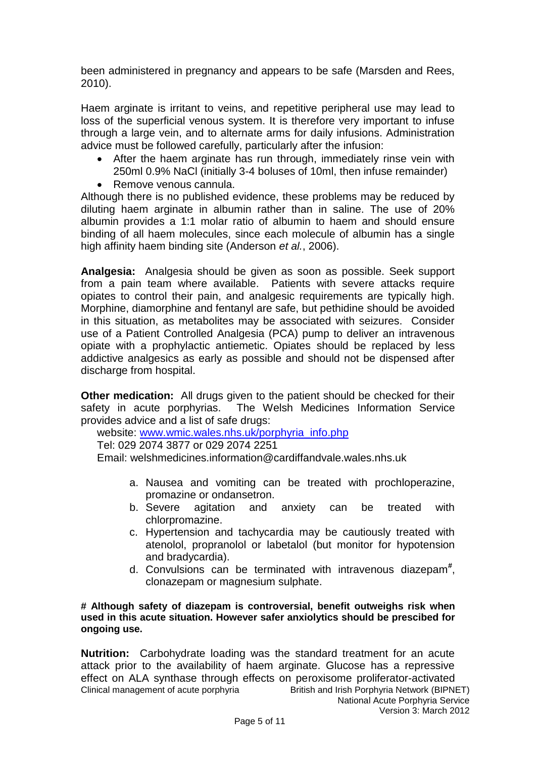been administered in pregnancy and appears to be safe (Marsden and Rees, 2010).

Haem arginate is irritant to veins, and repetitive peripheral use may lead to loss of the superficial venous system. It is therefore very important to infuse through a large vein, and to alternate arms for daily infusions. Administration advice must be followed carefully, particularly after the infusion:

- After the haem arginate has run through, immediately rinse vein with 250ml 0.9% NaCl (initially 3-4 boluses of 10ml, then infuse remainder)
- Remove venous cannula.

Although there is no published evidence, these problems may be reduced by diluting haem arginate in albumin rather than in saline. The use of 20% albumin provides a 1:1 molar ratio of albumin to haem and should ensure binding of all haem molecules, since each molecule of albumin has a single high affinity haem binding site (Anderson *et al.*, 2006).

**Analgesia:** Analgesia should be given as soon as possible. Seek support from a pain team where available. Patients with severe attacks require opiates to control their pain, and analgesic requirements are typically high. Morphine, diamorphine and fentanyl are safe, but pethidine should be avoided in this situation, as metabolites may be associated with seizures. Consider use of a Patient Controlled Analgesia (PCA) pump to deliver an intravenous opiate with a prophylactic antiemetic. Opiates should be replaced by less addictive analgesics as early as possible and should not be dispensed after discharge from hospital.

**Other medication:** All drugs given to the patient should be checked for their safety in acute porphyrias. The Welsh Medicines Information Service provides advice and a list of safe drugs:

website: [www.wmic.wales.nhs.uk/porphyria\\_info.php](http://www.wmic.wales.nhs.uk/porphyria_info.php)

Tel: 029 2074 3877 or 029 2074 2251

Email: welshmedicines.information@cardiffandvale.wales.nhs.uk

- a. Nausea and vomiting can be treated with prochloperazine, promazine or ondansetron.
- b. Severe agitation and anxiety can be treated with chlorpromazine.
- c. Hypertension and tachycardia may be cautiously treated with atenolol, propranolol or labetalol (but monitor for hypotension and bradycardia).
- d. Convulsions can be terminated with intravenous diazepam**#** , clonazepam or magnesium sulphate.

#### **# Although safety of diazepam is controversial, benefit outweighs risk when used in this acute situation. However safer anxiolytics should be prescibed for ongoing use.**

Clinical management of acute porphyria British and Irish Porphyria Network (BIPNET) National Acute Porphyria Service **Nutrition:** Carbohydrate loading was the standard treatment for an acute attack prior to the availability of haem arginate. Glucose has a repressive effect on ALA synthase through effects on peroxisome proliferator-activated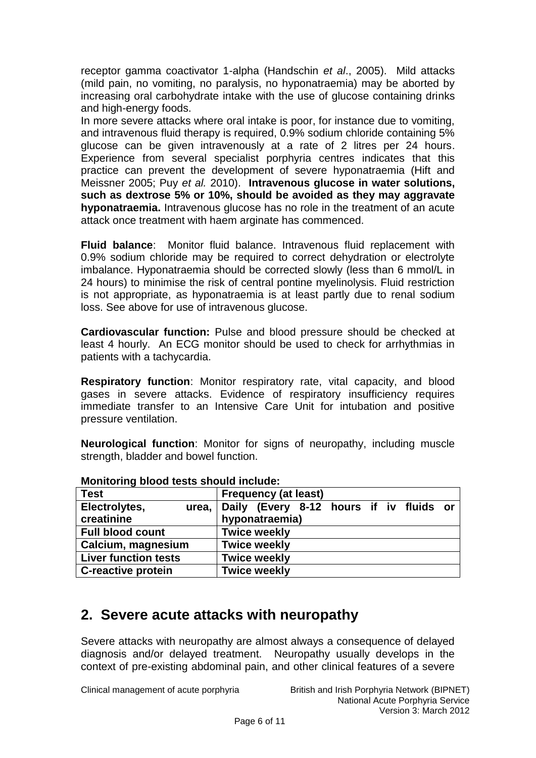receptor gamma coactivator 1-alpha (Handschin *et al*., 2005). Mild attacks (mild pain, no vomiting, no paralysis, no hyponatraemia) may be aborted by increasing oral carbohydrate intake with the use of glucose containing drinks and high-energy foods.

In more severe attacks where oral intake is poor, for instance due to vomiting, and intravenous fluid therapy is required, 0.9% sodium chloride containing 5% glucose can be given intravenously at a rate of 2 litres per 24 hours. Experience from several specialist porphyria centres indicates that this practice can prevent the development of severe hyponatraemia (Hift and Meissner 2005; Puy *et al.* 2010). **Intravenous glucose in water solutions, such as dextrose 5% or 10%, should be avoided as they may aggravate hyponatraemia.** Intravenous glucose has no role in the treatment of an acute attack once treatment with haem arginate has commenced.

**Fluid balance**: Monitor fluid balance. Intravenous fluid replacement with 0.9% sodium chloride may be required to correct dehydration or electrolyte imbalance. Hyponatraemia should be corrected slowly (less than 6 mmol/L in 24 hours) to minimise the risk of central pontine myelinolysis. Fluid restriction is not appropriate, as hyponatraemia is at least partly due to renal sodium loss. See above for use of intravenous glucose.

**Cardiovascular function:** Pulse and blood pressure should be checked at least 4 hourly. An ECG monitor should be used to check for arrhythmias in patients with a tachycardia.

**Respiratory function**: Monitor respiratory rate, vital capacity, and blood gases in severe attacks. Evidence of respiratory insufficiency requires immediate transfer to an Intensive Care Unit for intubation and positive pressure ventilation.

**Neurological function**: Monitor for signs of neuropathy, including muscle strength, bladder and bowel function.

| <b>Test</b>                 | <b>Frequency (at least)</b>                   |  |  |  |  |
|-----------------------------|-----------------------------------------------|--|--|--|--|
| Electrolytes,               | urea, Daily (Every 8-12 hours if iv fluids or |  |  |  |  |
| creatinine                  | hyponatraemia)                                |  |  |  |  |
| <b>Full blood count</b>     | <b>Twice weekly</b>                           |  |  |  |  |
| Calcium, magnesium          | <b>Twice weekly</b>                           |  |  |  |  |
| <b>Liver function tests</b> | <b>Twice weekly</b>                           |  |  |  |  |
| <b>C-reactive protein</b>   | <b>Twice weekly</b>                           |  |  |  |  |

#### **Monitoring blood tests should include:**

## **2. Severe acute attacks with neuropathy**

Severe attacks with neuropathy are almost always a consequence of delayed diagnosis and/or delayed treatment. Neuropathy usually develops in the context of pre-existing abdominal pain, and other clinical features of a severe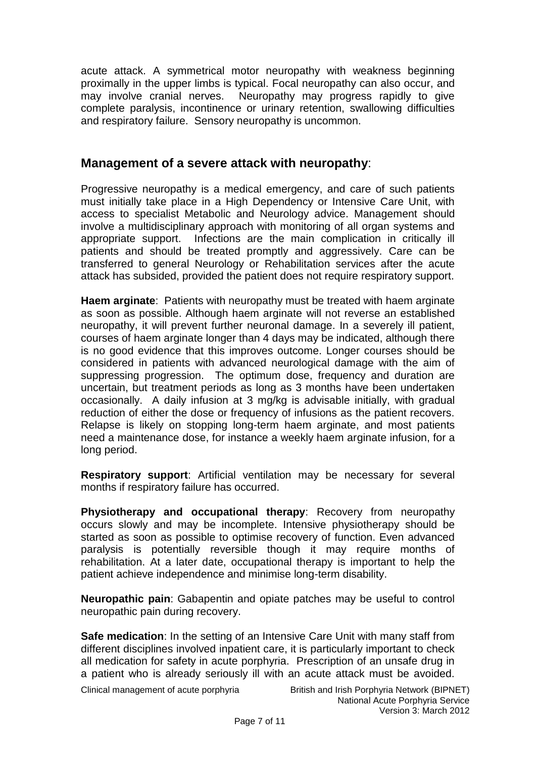acute attack. A symmetrical motor neuropathy with weakness beginning proximally in the upper limbs is typical. Focal neuropathy can also occur, and may involve cranial nerves. Neuropathy may progress rapidly to give complete paralysis, incontinence or urinary retention, swallowing difficulties and respiratory failure. Sensory neuropathy is uncommon.

### **Management of a severe attack with neuropathy**:

Progressive neuropathy is a medical emergency, and care of such patients must initially take place in a High Dependency or Intensive Care Unit, with access to specialist Metabolic and Neurology advice. Management should involve a multidisciplinary approach with monitoring of all organ systems and appropriate support. Infections are the main complication in critically ill patients and should be treated promptly and aggressively. Care can be transferred to general Neurology or Rehabilitation services after the acute attack has subsided, provided the patient does not require respiratory support.

**Haem arginate**: Patients with neuropathy must be treated with haem arginate as soon as possible. Although haem arginate will not reverse an established neuropathy, it will prevent further neuronal damage. In a severely ill patient, courses of haem arginate longer than 4 days may be indicated, although there is no good evidence that this improves outcome. Longer courses should be considered in patients with advanced neurological damage with the aim of suppressing progression. The optimum dose, frequency and duration are uncertain, but treatment periods as long as 3 months have been undertaken occasionally. A daily infusion at 3 mg/kg is advisable initially, with gradual reduction of either the dose or frequency of infusions as the patient recovers. Relapse is likely on stopping long-term haem arginate, and most patients need a maintenance dose, for instance a weekly haem arginate infusion, for a long period.

**Respiratory support**: Artificial ventilation may be necessary for several months if respiratory failure has occurred.

**Physiotherapy and occupational therapy**: Recovery from neuropathy occurs slowly and may be incomplete. Intensive physiotherapy should be started as soon as possible to optimise recovery of function. Even advanced paralysis is potentially reversible though it may require months of rehabilitation. At a later date, occupational therapy is important to help the patient achieve independence and minimise long-term disability.

**Neuropathic pain**: Gabapentin and opiate patches may be useful to control neuropathic pain during recovery.

**Safe medication:** In the setting of an Intensive Care Unit with many staff from different disciplines involved inpatient care, it is particularly important to check all medication for safety in acute porphyria. Prescription of an unsafe drug in a patient who is already seriously ill with an acute attack must be avoided.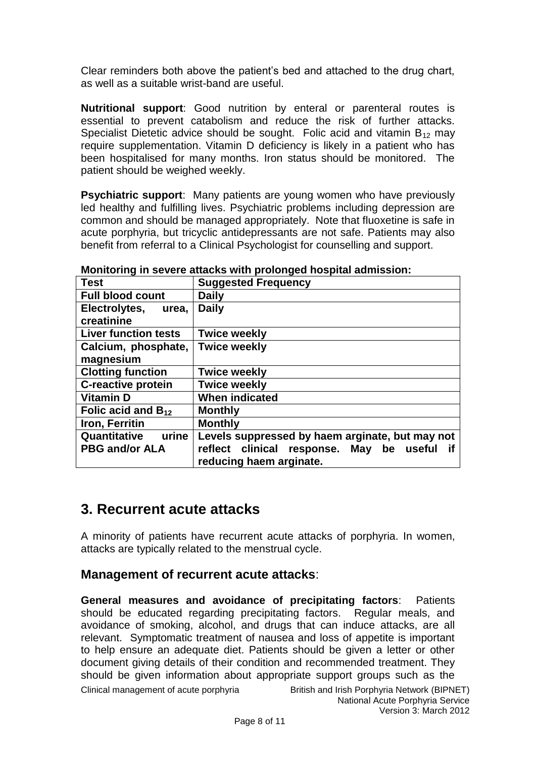Clear reminders both above the patient's bed and attached to the drug chart, as well as a suitable wrist-band are useful.

**Nutritional support**: Good nutrition by enteral or parenteral routes is essential to prevent catabolism and reduce the risk of further attacks. Specialist Dietetic advice should be sought. Folic acid and vitamin  $B_{12}$  may require supplementation. Vitamin D deficiency is likely in a patient who has been hospitalised for many months. Iron status should be monitored. The patient should be weighed weekly.

**Psychiatric support**: Many patients are young women who have previously led healthy and fulfilling lives. Psychiatric problems including depression are common and should be managed appropriately. Note that fluoxetine is safe in acute porphyria, but tricyclic antidepressants are not safe. Patients may also benefit from referral to a Clinical Psychologist for counselling and support.

| <b>Suggested Frequency</b>                                                   |
|------------------------------------------------------------------------------|
| Daily                                                                        |
| <b>Daily</b>                                                                 |
|                                                                              |
| <b>Twice weekly</b>                                                          |
| <b>Twice weekly</b>                                                          |
|                                                                              |
| <b>Twice weekly</b>                                                          |
| <b>Twice weekly</b>                                                          |
| <b>When indicated</b>                                                        |
| <b>Monthly</b>                                                               |
| <b>Monthly</b>                                                               |
| Levels suppressed by haem arginate, but may not                              |
| clinical response. May<br>reflect<br>be<br>useful<br>reducing haem arginate. |
|                                                                              |

**Monitoring in severe attacks with prolonged hospital admission:**

## **3. Recurrent acute attacks**

A minority of patients have recurrent acute attacks of porphyria. In women, attacks are typically related to the menstrual cycle.

## **Management of recurrent acute attacks**:

Clinical management of acute porphyria British and Irish Porphyria Network (BIPNET) **General measures and avoidance of precipitating factors**: Patients should be educated regarding precipitating factors. Regular meals, and avoidance of smoking, alcohol, and drugs that can induce attacks, are all relevant. Symptomatic treatment of nausea and loss of appetite is important to help ensure an adequate diet. Patients should be given a letter or other document giving details of their condition and recommended treatment. They should be given information about appropriate support groups such as the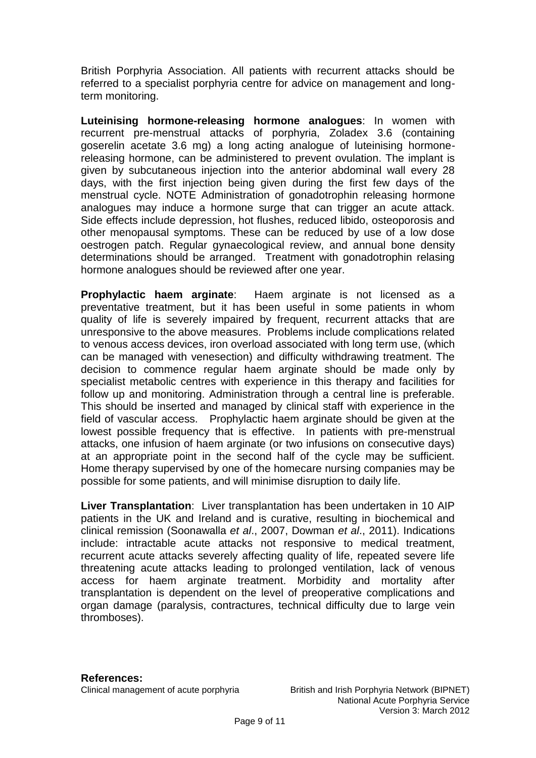British Porphyria Association. All patients with recurrent attacks should be referred to a specialist porphyria centre for advice on management and longterm monitoring.

**Luteinising hormone-releasing hormone analogues**: In women with recurrent pre-menstrual attacks of porphyria, Zoladex 3.6 (containing goserelin acetate 3.6 mg) a long acting analogue of luteinising hormonereleasing hormone, can be administered to prevent ovulation. The implant is given by subcutaneous injection into the anterior abdominal wall every 28 days, with the first injection being given during the first few days of the menstrual cycle. NOTE Administration of gonadotrophin releasing hormone analogues may induce a hormone surge that can trigger an acute attack. Side effects include depression, hot flushes, reduced libido, osteoporosis and other menopausal symptoms. These can be reduced by use of a low dose oestrogen patch. Regular gynaecological review, and annual bone density determinations should be arranged. Treatment with gonadotrophin relasing hormone analogues should be reviewed after one year.

**Prophylactic haem arginate**: Haem arginate is not licensed as a preventative treatment, but it has been useful in some patients in whom quality of life is severely impaired by frequent, recurrent attacks that are unresponsive to the above measures. Problems include complications related to venous access devices, iron overload associated with long term use, (which can be managed with venesection) and difficulty withdrawing treatment. The decision to commence regular haem arginate should be made only by specialist metabolic centres with experience in this therapy and facilities for follow up and monitoring. Administration through a central line is preferable. This should be inserted and managed by clinical staff with experience in the field of vascular access. Prophylactic haem arginate should be given at the lowest possible frequency that is effective. In patients with pre-menstrual attacks, one infusion of haem arginate (or two infusions on consecutive days) at an appropriate point in the second half of the cycle may be sufficient. Home therapy supervised by one of the homecare nursing companies may be possible for some patients, and will minimise disruption to daily life.

**Liver Transplantation**: Liver transplantation has been undertaken in 10 AIP patients in the UK and Ireland and is curative, resulting in biochemical and clinical remission (Soonawalla *et al*., 2007, Dowman *et al*., 2011). Indications include: intractable acute attacks not responsive to medical treatment, recurrent acute attacks severely affecting quality of life, repeated severe life threatening acute attacks leading to prolonged ventilation, lack of venous access for haem arginate treatment. Morbidity and mortality after transplantation is dependent on the level of preoperative complications and organ damage (paralysis, contractures, technical difficulty due to large vein thromboses).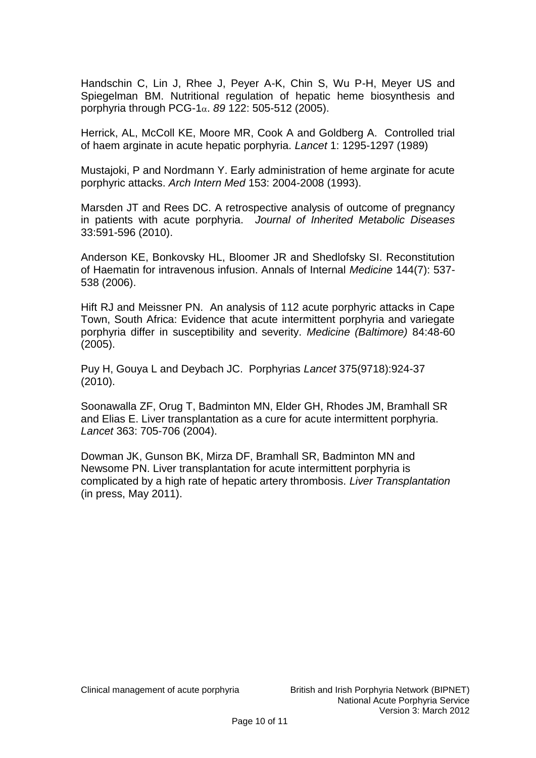Handschin C, Lin J, Rhee J, Peyer A-K, Chin S, Wu P-H, Meyer US and Spiegelman BM. Nutritional regulation of hepatic heme biosynthesis and porphyria through PCG-1α. 89 122: 505-512 (2005).

Herrick, AL, McColl KE, Moore MR, Cook A and Goldberg A. Controlled trial of haem arginate in acute hepatic porphyria. *Lancet* 1: 1295-1297 (1989)

Mustajoki, P and Nordmann Y. Early administration of heme arginate for acute porphyric attacks. *Arch Intern Med* 153: 2004-2008 (1993).

Marsden JT and Rees DC. A retrospective analysis of outcome of pregnancy in patients with acute porphyria. *Journal of Inherited Metabolic Diseases* 33:591-596 (2010).

Anderson KE, Bonkovsky HL, Bloomer JR and Shedlofsky SI. Reconstitution of Haematin for intravenous infusion. Annals of Internal *Medicine* 144(7): 537- 538 (2006).

Hift RJ and Meissner PN. An analysis of 112 acute porphyric attacks in Cape Town, South Africa: Evidence that acute intermittent porphyria and variegate porphyria differ in susceptibility and severity. *Medicine (Baltimore)* 84:48-60 (2005).

Puy H, Gouya L and Deybach JC. Porphyrias *Lancet* 375(9718):924-37 (2010).

Soonawalla ZF, Orug T, Badminton MN, Elder GH, Rhodes JM, Bramhall SR and Elias E. Liver transplantation as a cure for acute intermittent porphyria. *Lancet* 363: 705-706 (2004).

Dowman JK, Gunson BK, Mirza DF, Bramhall SR, Badminton MN and Newsome PN. Liver transplantation for acute intermittent porphyria is complicated by a high rate of hepatic artery thrombosis. *Liver Transplantation* (in press, May 2011).